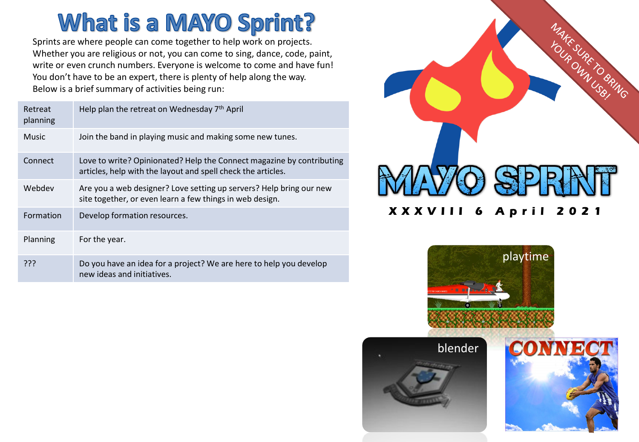# **What is a MAYO Sprint?**

Sprints are where people can come together to help work on projects. Whether you are religious or not, you can come to sing, dance, code, paint, write or even crunch numbers. Everyone is welcome to come and have fun! You don't have to be an expert, there is plenty of help along the way. Below is a brief summary of activities being run:

| Retreat<br>planning | Help plan the retreat on Wednesday 7th April                                                                                          |
|---------------------|---------------------------------------------------------------------------------------------------------------------------------------|
| <b>Music</b>        | Join the band in playing music and making some new tunes.                                                                             |
| Connect             | Love to write? Opinionated? Help the Connect magazine by contributing<br>articles, help with the layout and spell check the articles. |
| Webdev              | Are you a web designer? Love setting up servers? Help bring our new<br>site together, or even learn a few things in web design.       |
| Formation           | Develop formation resources.                                                                                                          |
| Planning            | For the year.                                                                                                                         |
| ???                 | Do you have an idea for a project? We are here to help you develop<br>new ideas and initiatives.                                      |